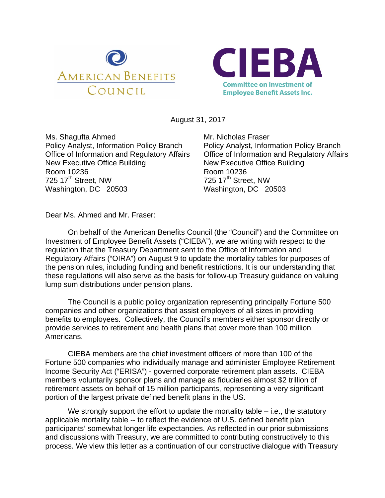



August 31, 2017

Ms. Shagufta Ahmed Policy Analyst, Information Policy Branch Office of Information and Regulatory Affairs New Executive Office Building Room 10236  $725$  17<sup>th</sup> Street, NW Washington, DC 20503

Mr. Nicholas Fraser Policy Analyst, Information Policy Branch Office of Information and Regulatory Affairs New Executive Office Building Room 10236 725 17<sup>th</sup> Street, NW Washington, DC 20503

Dear Ms. Ahmed and Mr. Fraser:

 On behalf of the American Benefits Council (the "Council") and the Committee on Investment of Employee Benefit Assets ("CIEBA"), we are writing with respect to the regulation that the Treasury Department sent to the Office of Information and Regulatory Affairs ("OIRA") on August 9 to update the mortality tables for purposes of the pension rules, including funding and benefit restrictions. It is our understanding that these regulations will also serve as the basis for follow-up Treasury guidance on valuing lump sum distributions under pension plans.

The Council is a public policy organization representing principally Fortune 500 companies and other organizations that assist employers of all sizes in providing benefits to employees. Collectively, the Council's members either sponsor directly or provide services to retirement and health plans that cover more than 100 million Americans.

CIEBA members are the chief investment officers of more than 100 of the Fortune 500 companies who individually manage and administer Employee Retirement Income Security Act ("ERISA") - governed corporate retirement plan assets. CIEBA members voluntarily sponsor plans and manage as fiduciaries almost \$2 trillion of retirement assets on behalf of 15 million participants, representing a very significant portion of the largest private defined benefit plans in the US.

We strongly support the effort to update the mortality table  $-$  i.e., the statutory applicable mortality table -- to reflect the evidence of U.S. defined benefit plan participants' somewhat longer life expectancies. As reflected in our prior submissions and discussions with Treasury, we are committed to contributing constructively to this process. We view this letter as a continuation of our constructive dialogue with Treasury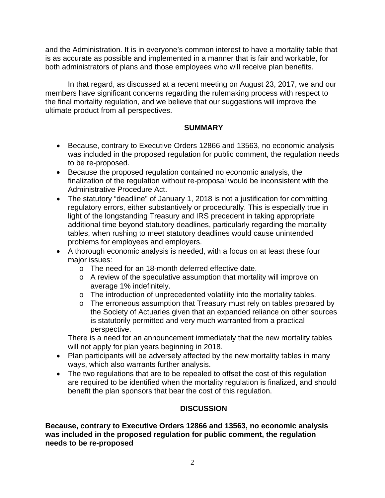and the Administration. It is in everyone's common interest to have a mortality table that is as accurate as possible and implemented in a manner that is fair and workable, for both administrators of plans and those employees who will receive plan benefits.

In that regard, as discussed at a recent meeting on August 23, 2017, we and our members have significant concerns regarding the rulemaking process with respect to the final mortality regulation, and we believe that our suggestions will improve the ultimate product from all perspectives.

### **SUMMARY**

- Because, contrary to Executive Orders 12866 and 13563, no economic analysis was included in the proposed regulation for public comment, the regulation needs to be re-proposed.
- Because the proposed regulation contained no economic analysis, the finalization of the regulation without re-proposal would be inconsistent with the Administrative Procedure Act.
- The statutory "deadline" of January 1, 2018 is not a justification for committing regulatory errors, either substantively or procedurally. This is especially true in light of the longstanding Treasury and IRS precedent in taking appropriate additional time beyond statutory deadlines, particularly regarding the mortality tables, when rushing to meet statutory deadlines would cause unintended problems for employees and employers.
- A thorough economic analysis is needed, with a focus on at least these four major issues:
	- o The need for an 18-month deferred effective date.
	- o A review of the speculative assumption that mortality will improve on average 1% indefinitely.
	- o The introduction of unprecedented volatility into the mortality tables.
	- o The erroneous assumption that Treasury must rely on tables prepared by the Society of Actuaries given that an expanded reliance on other sources is statutorily permitted and very much warranted from a practical perspective.

There is a need for an announcement immediately that the new mortality tables will not apply for plan years beginning in 2018.

- Plan participants will be adversely affected by the new mortality tables in many ways, which also warrants further analysis.
- The two regulations that are to be repealed to offset the cost of this regulation are required to be identified when the mortality regulation is finalized, and should benefit the plan sponsors that bear the cost of this regulation.

# **DISCUSSION**

**Because, contrary to Executive Orders 12866 and 13563, no economic analysis was included in the proposed regulation for public comment, the regulation needs to be re-proposed**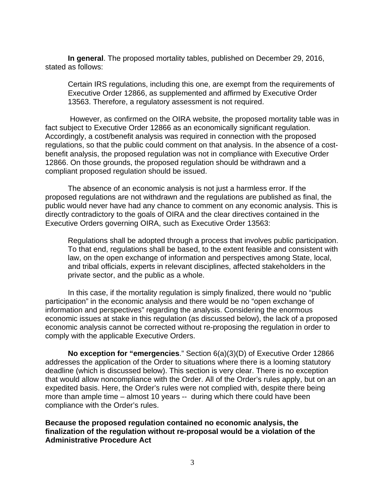**In general**. The proposed mortality tables, published on December 29, 2016, stated as follows:

Certain IRS regulations, including this one, are exempt from the requirements of Executive Order 12866, as supplemented and affirmed by Executive Order 13563. Therefore, a regulatory assessment is not required.

 However, as confirmed on the OIRA website, the proposed mortality table was in fact subject to Executive Order 12866 as an economically significant regulation. Accordingly, a cost/benefit analysis was required in connection with the proposed regulations, so that the public could comment on that analysis. In the absence of a costbenefit analysis, the proposed regulation was not in compliance with Executive Order 12866. On those grounds, the proposed regulation should be withdrawn and a compliant proposed regulation should be issued.

The absence of an economic analysis is not just a harmless error. If the proposed regulations are not withdrawn and the regulations are published as final, the public would never have had any chance to comment on any economic analysis. This is directly contradictory to the goals of OIRA and the clear directives contained in the Executive Orders governing OIRA, such as Executive Order 13563:

Regulations shall be adopted through a process that involves public participation. To that end, regulations shall be based, to the extent feasible and consistent with law, on the open exchange of information and perspectives among State, local, and tribal officials, experts in relevant disciplines, affected stakeholders in the private sector, and the public as a whole.

 In this case, if the mortality regulation is simply finalized, there would no "public participation" in the economic analysis and there would be no "open exchange of information and perspectives" regarding the analysis. Considering the enormous economic issues at stake in this regulation (as discussed below), the lack of a proposed economic analysis cannot be corrected without re-proposing the regulation in order to comply with the applicable Executive Orders.

**No exception for "emergencies**." Section 6(a)(3)(D) of Executive Order 12866 addresses the application of the Order to situations where there is a looming statutory deadline (which is discussed below). This section is very clear. There is no exception that would allow noncompliance with the Order. All of the Order's rules apply, but on an expedited basis. Here, the Order's rules were not complied with, despite there being more than ample time – almost 10 years -- during which there could have been compliance with the Order's rules.

**Because the proposed regulation contained no economic analysis, the finalization of the regulation without re-proposal would be a violation of the Administrative Procedure Act**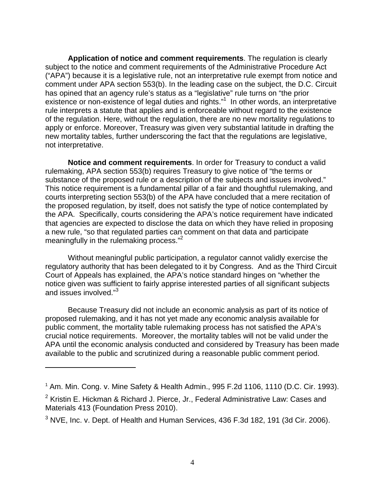**Application of notice and comment requirements**. The regulation is clearly subject to the notice and comment requirements of the Administrative Procedure Act ("APA") because it is a legislative rule, not an interpretative rule exempt from notice and comment under APA section 553(b). In the leading case on the subject, the D.C. Circuit has opined that an agency rule's status as a "legislative" rule turns on "the prior existence or non-existence of legal duties and rights."<sup>1</sup> In other words, an interpretative rule interprets a statute that applies and is enforceable without regard to the existence of the regulation. Here, without the regulation, there are no new mortality regulations to apply or enforce. Moreover, Treasury was given very substantial latitude in drafting the new mortality tables, further underscoring the fact that the regulations are legislative, not interpretative.

**Notice and comment requirements**. In order for Treasury to conduct a valid rulemaking, APA section 553(b) requires Treasury to give notice of "the terms or substance of the proposed rule or a description of the subjects and issues involved." This notice requirement is a fundamental pillar of a fair and thoughtful rulemaking, and courts interpreting section 553(b) of the APA have concluded that a mere recitation of the proposed regulation, by itself, does not satisfy the type of notice contemplated by the APA. Specifically, courts considering the APA's notice requirement have indicated that agencies are expected to disclose the data on which they have relied in proposing a new rule, "so that regulated parties can comment on that data and participate meaningfully in the rulemaking process."<sup>2</sup>

 Without meaningful public participation, a regulator cannot validly exercise the regulatory authority that has been delegated to it by Congress. And as the Third Circuit Court of Appeals has explained, the APA's notice standard hinges on "whether the notice given was sufficient to fairly apprise interested parties of all significant subjects and issues involved."<sup>3</sup>

 Because Treasury did not include an economic analysis as part of its notice of proposed rulemaking, and it has not yet made any economic analysis available for public comment, the mortality table rulemaking process has not satisfied the APA's crucial notice requirements. Moreover, the mortality tables will not be valid under the APA until the economic analysis conducted and considered by Treasury has been made available to the public and scrutinized during a reasonable public comment period.

 $1$  Am. Min. Cong. v. Mine Safety & Health Admin., 995 F.2d 1106, 1110 (D.C. Cir. 1993).

<sup>&</sup>lt;sup>2</sup> Kristin E. Hickman & Richard J. Pierce, Jr., Federal Administrative Law: Cases and Materials 413 (Foundation Press 2010).

 $3$  NVE, Inc. v. Dept. of Health and Human Services, 436 F.3d 182, 191 (3d Cir. 2006).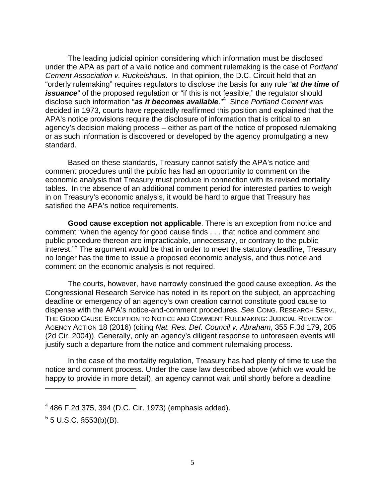The leading judicial opinion considering which information must be disclosed under the APA as part of a valid notice and comment rulemaking is the case of *Portland Cement Association v. Ruckelshaus*. In that opinion, the D.C. Circuit held that an "orderly rulemaking" requires regulators to disclose the basis for any rule "*at the time of issuance*" of the proposed regulation or "if this is not feasible," the regulator should disclose such information "*as it becomes available*."4 Since *Portland Cement* was decided in 1973, courts have repeatedly reaffirmed this position and explained that the APA's notice provisions require the disclosure of information that is critical to an agency's decision making process – either as part of the notice of proposed rulemaking or as such information is discovered or developed by the agency promulgating a new standard.

 Based on these standards, Treasury cannot satisfy the APA's notice and comment procedures until the public has had an opportunity to comment on the economic analysis that Treasury must produce in connection with its revised mortality tables. In the absence of an additional comment period for interested parties to weigh in on Treasury's economic analysis, it would be hard to argue that Treasury has satisfied the APA's notice requirements.

**Good cause exception not applicable**. There is an exception from notice and comment "when the agency for good cause finds . . . that notice and comment and public procedure thereon are impracticable, unnecessary, or contrary to the public interest."5 The argument would be that in order to meet the statutory deadline, Treasury no longer has the time to issue a proposed economic analysis, and thus notice and comment on the economic analysis is not required.

The courts, however, have narrowly construed the good cause exception. As the Congressional Research Service has noted in its report on the subject, an approaching deadline or emergency of an agency's own creation cannot constitute good cause to dispense with the APA's notice-and-comment procedures. *See* CONG. RESEARCH SERV., THE GOOD CAUSE EXCEPTION TO NOTICE AND COMMENT RULEMAKING: JUDICIAL REVIEW OF AGENCY ACTION 18 (2016) (citing *Nat. Res. Def. Council v. Abraham*, 355 F.3d 179, 205 (2d Cir. 2004)). Generally, only an agency's diligent response to unforeseen events will justify such a departure from the notice and comment rulemaking process.

In the case of the mortality regulation, Treasury has had plenty of time to use the notice and comment process. Under the case law described above (which we would be happy to provide in more detail), an agency cannot wait until shortly before a deadline

 $5$  5 U.S.C. §553(b)(B).

 $4$  486 F.2d 375, 394 (D.C. Cir. 1973) (emphasis added).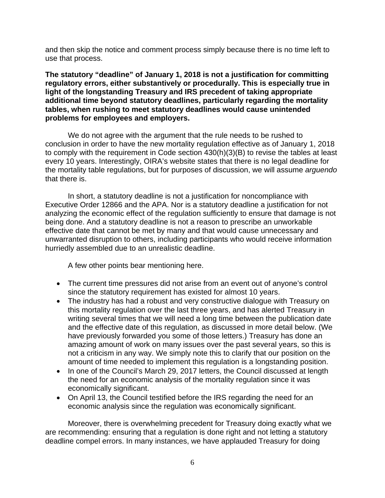and then skip the notice and comment process simply because there is no time left to use that process.

**The statutory "deadline" of January 1, 2018 is not a justification for committing regulatory errors, either substantively or procedurally. This is especially true in light of the longstanding Treasury and IRS precedent of taking appropriate additional time beyond statutory deadlines, particularly regarding the mortality tables, when rushing to meet statutory deadlines would cause unintended problems for employees and employers.** 

 We do not agree with the argument that the rule needs to be rushed to conclusion in order to have the new mortality regulation effective as of January 1, 2018 to comply with the requirement in Code section 430(h)(3)(B) to revise the tables at least every 10 years. Interestingly, OIRA's website states that there is no legal deadline for the mortality table regulations, but for purposes of discussion, we will assume *arguendo* that there is.

In short, a statutory deadline is not a justification for noncompliance with Executive Order 12866 and the APA. Nor is a statutory deadline a justification for not analyzing the economic effect of the regulation sufficiently to ensure that damage is not being done. And a statutory deadline is not a reason to prescribe an unworkable effective date that cannot be met by many and that would cause unnecessary and unwarranted disruption to others, including participants who would receive information hurriedly assembled due to an unrealistic deadline.

A few other points bear mentioning here.

- The current time pressures did not arise from an event out of anyone's control since the statutory requirement has existed for almost 10 years.
- The industry has had a robust and very constructive dialogue with Treasury on this mortality regulation over the last three years, and has alerted Treasury in writing several times that we will need a long time between the publication date and the effective date of this regulation, as discussed in more detail below. (We have previously forwarded you some of those letters.) Treasury has done an amazing amount of work on many issues over the past several years, so this is not a criticism in any way. We simply note this to clarify that our position on the amount of time needed to implement this regulation is a longstanding position.
- In one of the Council's March 29, 2017 letters, the Council discussed at length the need for an economic analysis of the mortality regulation since it was economically significant.
- On April 13, the Council testified before the IRS regarding the need for an economic analysis since the regulation was economically significant.

Moreover, there is overwhelming precedent for Treasury doing exactly what we are recommending: ensuring that a regulation is done right and not letting a statutory deadline compel errors. In many instances, we have applauded Treasury for doing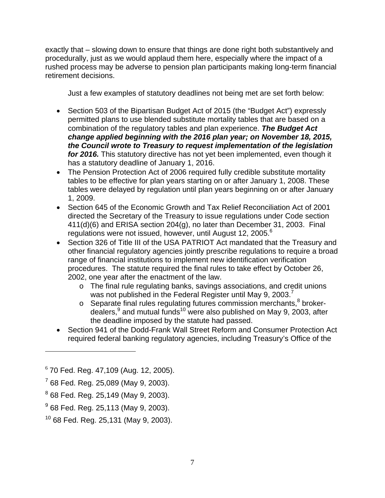exactly that – slowing down to ensure that things are done right both substantively and procedurally, just as we would applaud them here, especially where the impact of a rushed process may be adverse to pension plan participants making long-term financial retirement decisions.

Just a few examples of statutory deadlines not being met are set forth below:

- Section 503 of the Bipartisan Budget Act of 2015 (the "Budget Act") expressly permitted plans to use blended substitute mortality tables that are based on a combination of the regulatory tables and plan experience. *The Budget Act change applied beginning with the 2016 plan year; on November 18, 2015, the Council wrote to Treasury to request implementation of the legislation for 2016.* This statutory directive has not yet been implemented, even though it has a statutory deadline of January 1, 2016.
- The Pension Protection Act of 2006 required fully credible substitute mortality tables to be effective for plan years starting on or after January 1, 2008. These tables were delayed by regulation until plan years beginning on or after January 1, 2009.
- Section 645 of the Economic Growth and Tax Relief Reconciliation Act of 2001 directed the Secretary of the Treasury to issue regulations under Code section 411(d)(6) and ERISA section 204(g), no later than December 31, 2003. Final regulations were not issued, however, until August 12, 2005.<sup>6</sup>
- Section 326 of Title III of the USA PATRIOT Act mandated that the Treasury and other financial regulatory agencies jointly prescribe regulations to require a broad range of financial institutions to implement new identification verification procedures. The statute required the final rules to take effect by October 26, 2002, one year after the enactment of the law.
	- o The final rule regulating banks, savings associations, and credit unions was not published in the Federal Register until May 9, 2003.<sup>7</sup>
	- $\circ$  Separate final rules regulating futures commission merchants, $^8$  brokerdealers, $^9$  and mutual funds<sup>10</sup> were also published on May 9, 2003, after the deadline imposed by the statute had passed.
- Section 941 of the Dodd-Frank Wall Street Reform and Consumer Protection Act required federal banking regulatory agencies, including Treasury's Office of the

1

 $6$  70 Fed. Reg. 47,109 (Aug. 12, 2005).

 $7$  68 Fed. Reg. 25,089 (May 9, 2003).

<sup>8</sup> 68 Fed. Reg. 25,149 (May 9, 2003).

<sup>&</sup>lt;sup>9</sup> 68 Fed. Reg. 25,113 (May 9, 2003).

 $10$  68 Fed. Reg. 25,131 (May 9, 2003).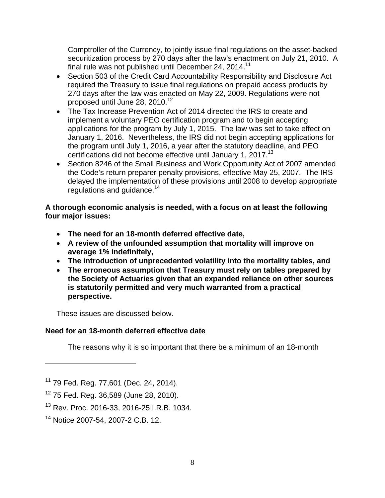Comptroller of the Currency, to jointly issue final regulations on the asset-backed securitization process by 270 days after the law's enactment on July 21, 2010. A final rule was not published until December 24, 2014.<sup>11</sup>

- Section 503 of the Credit Card Accountability Responsibility and Disclosure Act required the Treasury to issue final regulations on prepaid access products by 270 days after the law was enacted on May 22, 2009. Regulations were not proposed until June 28, 2010.<sup>12</sup>
- The Tax Increase Prevention Act of 2014 directed the IRS to create and implement a voluntary PEO certification program and to begin accepting applications for the program by July 1, 2015. The law was set to take effect on January 1, 2016. Nevertheless, the IRS did not begin accepting applications for the program until July 1, 2016, a year after the statutory deadline, and PEO certifications did not become effective until January 1, 2017.<sup>13</sup>
- Section 8246 of the Small Business and Work Opportunity Act of 2007 amended the Code's return preparer penalty provisions, effective May 25, 2007. The IRS delayed the implementation of these provisions until 2008 to develop appropriate regulations and guidance.<sup>14</sup>

**A thorough economic analysis is needed, with a focus on at least the following four major issues:** 

- **The need for an 18-month deferred effective date,**
- **A review of the unfounded assumption that mortality will improve on average 1% indefinitely,**
- **The introduction of unprecedented volatility into the mortality tables, and**
- **The erroneous assumption that Treasury must rely on tables prepared by the Society of Actuaries given that an expanded reliance on other sources is statutorily permitted and very much warranted from a practical perspective.**

These issues are discussed below.

# **Need for an 18-month deferred effective date**

The reasons why it is so important that there be a minimum of an 18-month

<sup>&</sup>lt;sup>11</sup> 79 Fed. Reg. 77,601 (Dec. 24, 2014).

<sup>12 75</sup> Fed. Reg. 36,589 (June 28, 2010).

<sup>&</sup>lt;sup>13</sup> Rev. Proc. 2016-33, 2016-25 I.R.B. 1034.

<sup>14</sup> Notice 2007-54, 2007-2 C.B. 12.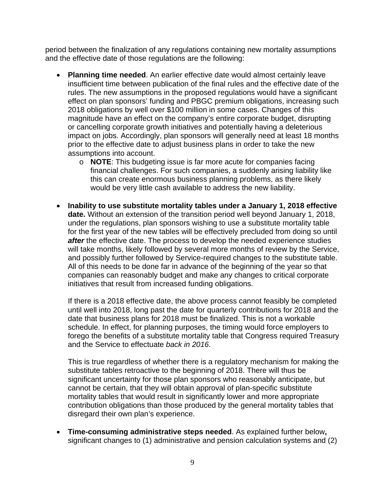period between the finalization of any regulations containing new mortality assumptions and the effective date of those regulations are the following:

- **Planning time needed**. An earlier effective date would almost certainly leave insufficient time between publication of the final rules and the effective date of the rules. The new assumptions in the proposed regulations would have a significant effect on plan sponsors' funding and PBGC premium obligations, increasing such 2018 obligations by well over \$100 million in some cases. Changes of this magnitude have an effect on the company's entire corporate budget, disrupting or cancelling corporate growth initiatives and potentially having a deleterious impact on jobs. Accordingly, plan sponsors will generally need at least 18 months prior to the effective date to adjust business plans in order to take the new assumptions into account.
	- o **NOTE**: This budgeting issue is far more acute for companies facing financial challenges. For such companies, a suddenly arising liability like this can create enormous business planning problems, as there likely would be very little cash available to address the new liability.
- **Inability to use substitute mortality tables under a January 1, 2018 effective date.** Without an extension of the transition period well beyond January 1, 2018, under the regulations, plan sponsors wishing to use a substitute mortality table for the first year of the new tables will be effectively precluded from doing so until *after* the effective date. The process to develop the needed experience studies will take months, likely followed by several more months of review by the Service, and possibly further followed by Service-required changes to the substitute table. All of this needs to be done far in advance of the beginning of the year so that companies can reasonably budget and make any changes to critical corporate initiatives that result from increased funding obligations.

If there is a 2018 effective date, the above process cannot feasibly be completed until well into 2018, long past the date for quarterly contributions for 2018 and the date that business plans for 2018 must be finalized. This is not a workable schedule. In effect, for planning purposes, the timing would force employers to forego the benefits of a substitute mortality table that Congress required Treasury and the Service to effectuate *back in 2016*.

This is true regardless of whether there is a regulatory mechanism for making the substitute tables retroactive to the beginning of 2018. There will thus be significant uncertainty for those plan sponsors who reasonably anticipate, but cannot be certain, that they will obtain approval of plan-specific substitute mortality tables that would result in significantly lower and more appropriate contribution obligations than those produced by the general mortality tables that disregard their own plan's experience.

 **Time-consuming administrative steps needed**. As explained further below**,**  significant changes to (1) administrative and pension calculation systems and (2)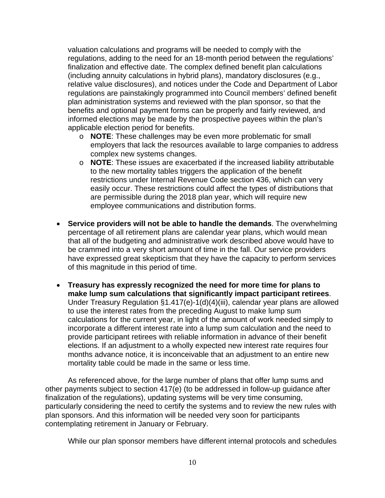valuation calculations and programs will be needed to comply with the regulations, adding to the need for an 18-month period between the regulations' finalization and effective date. The complex defined benefit plan calculations (including annuity calculations in hybrid plans), mandatory disclosures (e.g., relative value disclosures), and notices under the Code and Department of Labor regulations are painstakingly programmed into Council members' defined benefit plan administration systems and reviewed with the plan sponsor, so that the benefits and optional payment forms can be properly and fairly reviewed, and informed elections may be made by the prospective payees within the plan's applicable election period for benefits.

- o **NOTE**: These challenges may be even more problematic for small employers that lack the resources available to large companies to address complex new systems changes.
- o **NOTE**: These issues are exacerbated if the increased liability attributable to the new mortality tables triggers the application of the benefit restrictions under Internal Revenue Code section 436, which can very easily occur. These restrictions could affect the types of distributions that are permissible during the 2018 plan year, which will require new employee communications and distribution forms.
- **Service providers will not be able to handle the demands**. The overwhelming percentage of all retirement plans are calendar year plans, which would mean that all of the budgeting and administrative work described above would have to be crammed into a very short amount of time in the fall. Our service providers have expressed great skepticism that they have the capacity to perform services of this magnitude in this period of time.
- **Treasury has expressly recognized the need for more time for plans to make lump sum calculations that significantly impact participant retirees**. Under Treasury Regulation §1.417(e)-1(d)(4)(iii), calendar year plans are allowed to use the interest rates from the preceding August to make lump sum calculations for the current year, in light of the amount of work needed simply to incorporate a different interest rate into a lump sum calculation and the need to provide participant retirees with reliable information in advance of their benefit elections. If an adjustment to a wholly expected new interest rate requires four months advance notice, it is inconceivable that an adjustment to an entire new mortality table could be made in the same or less time.

As referenced above, for the large number of plans that offer lump sums and other payments subject to section 417(e) (to be addressed in follow-up guidance after finalization of the regulations), updating systems will be very time consuming, particularly considering the need to certify the systems and to review the new rules with plan sponsors. And this information will be needed very soon for participants contemplating retirement in January or February.

While our plan sponsor members have different internal protocols and schedules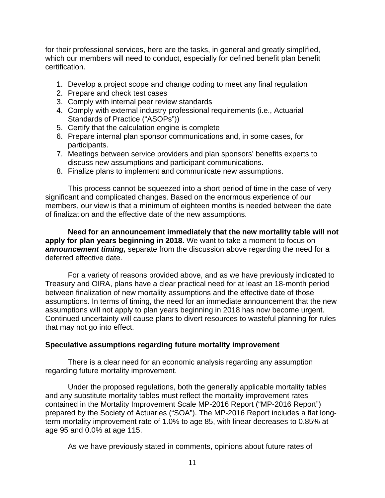for their professional services, here are the tasks, in general and greatly simplified, which our members will need to conduct, especially for defined benefit plan benefit certification.

- 1. Develop a project scope and change coding to meet any final regulation
- 2. Prepare and check test cases
- 3. Comply with internal peer review standards
- 4. Comply with external industry professional requirements (i.e., Actuarial Standards of Practice ("ASOPs"))
- 5. Certify that the calculation engine is complete
- 6. Prepare internal plan sponsor communications and, in some cases, for participants.
- 7. Meetings between service providers and plan sponsors' benefits experts to discuss new assumptions and participant communications.
- 8. Finalize plans to implement and communicate new assumptions.

This process cannot be squeezed into a short period of time in the case of very significant and complicated changes. Based on the enormous experience of our members, our view is that a minimum of eighteen months is needed between the date of finalization and the effective date of the new assumptions.

**Need for an announcement immediately that the new mortality table will not apply for plan years beginning in 2018.** We want to take a moment to focus on *announcement timing,* separate from the discussion above regarding the need for a deferred effective date.

For a variety of reasons provided above, and as we have previously indicated to Treasury and OIRA, plans have a clear practical need for at least an 18-month period between finalization of new mortality assumptions and the effective date of those assumptions. In terms of timing, the need for an immediate announcement that the new assumptions will not apply to plan years beginning in 2018 has now become urgent. Continued uncertainty will cause plans to divert resources to wasteful planning for rules that may not go into effect.

# **Speculative assumptions regarding future mortality improvement**

There is a clear need for an economic analysis regarding any assumption regarding future mortality improvement.

Under the proposed regulations, both the generally applicable mortality tables and any substitute mortality tables must reflect the mortality improvement rates contained in the Mortality Improvement Scale MP-2016 Report ("MP-2016 Report") prepared by the Society of Actuaries ("SOA"). The MP-2016 Report includes a flat longterm mortality improvement rate of 1.0% to age 85, with linear decreases to 0.85% at age 95 and 0.0% at age 115.

As we have previously stated in comments, opinions about future rates of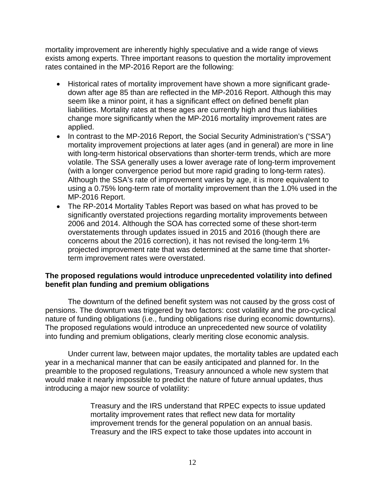mortality improvement are inherently highly speculative and a wide range of views exists among experts. Three important reasons to question the mortality improvement rates contained in the MP-2016 Report are the following:

- Historical rates of mortality improvement have shown a more significant gradedown after age 85 than are reflected in the MP-2016 Report. Although this may seem like a minor point, it has a significant effect on defined benefit plan liabilities. Mortality rates at these ages are currently high and thus liabilities change more significantly when the MP-2016 mortality improvement rates are applied.
- In contrast to the MP-2016 Report, the Social Security Administration's ("SSA") mortality improvement projections at later ages (and in general) are more in line with long-term historical observations than shorter-term trends, which are more volatile. The SSA generally uses a lower average rate of long-term improvement (with a longer convergence period but more rapid grading to long-term rates). Although the SSA's rate of improvement varies by age, it is more equivalent to using a 0.75% long-term rate of mortality improvement than the 1.0% used in the MP-2016 Report.
- The RP-2014 Mortality Tables Report was based on what has proved to be significantly overstated projections regarding mortality improvements between 2006 and 2014. Although the SOA has corrected some of these short-term overstatements through updates issued in 2015 and 2016 (though there are concerns about the 2016 correction), it has not revised the long-term 1% projected improvement rate that was determined at the same time that shorterterm improvement rates were overstated.

### **The proposed regulations would introduce unprecedented volatility into defined benefit plan funding and premium obligations**

 The downturn of the defined benefit system was not caused by the gross cost of pensions. The downturn was triggered by two factors: cost volatility and the pro-cyclical nature of funding obligations (i.e., funding obligations rise during economic downturns). The proposed regulations would introduce an unprecedented new source of volatility into funding and premium obligations, clearly meriting close economic analysis.

 Under current law, between major updates, the mortality tables are updated each year in a mechanical manner that can be easily anticipated and planned for. In the preamble to the proposed regulations, Treasury announced a whole new system that would make it nearly impossible to predict the nature of future annual updates, thus introducing a major new source of volatility:

> Treasury and the IRS understand that RPEC expects to issue updated mortality improvement rates that reflect new data for mortality improvement trends for the general population on an annual basis. Treasury and the IRS expect to take those updates into account in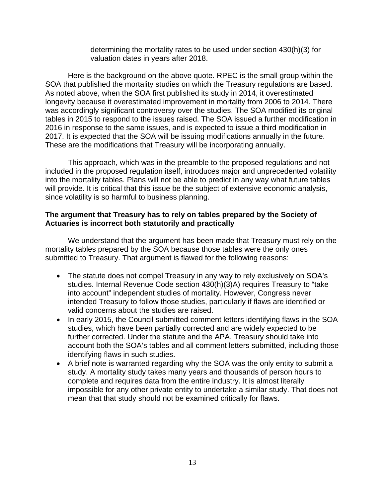determining the mortality rates to be used under section 430(h)(3) for valuation dates in years after 2018.

 Here is the background on the above quote. RPEC is the small group within the SOA that published the mortality studies on which the Treasury regulations are based. As noted above, when the SOA first published its study in 2014, it overestimated longevity because it overestimated improvement in mortality from 2006 to 2014. There was accordingly significant controversy over the studies. The SOA modified its original tables in 2015 to respond to the issues raised. The SOA issued a further modification in 2016 in response to the same issues, and is expected to issue a third modification in 2017. It is expected that the SOA will be issuing modifications annually in the future. These are the modifications that Treasury will be incorporating annually.

 This approach, which was in the preamble to the proposed regulations and not included in the proposed regulation itself, introduces major and unprecedented volatility into the mortality tables. Plans will not be able to predict in any way what future tables will provide. It is critical that this issue be the subject of extensive economic analysis, since volatility is so harmful to business planning.

### **The argument that Treasury has to rely on tables prepared by the Society of Actuaries is incorrect both statutorily and practically**

 We understand that the argument has been made that Treasury must rely on the mortality tables prepared by the SOA because those tables were the only ones submitted to Treasury. That argument is flawed for the following reasons:

- The statute does not compel Treasury in any way to rely exclusively on SOA's studies. Internal Revenue Code section 430(h)(3)A) requires Treasury to "take into account" independent studies of mortality. However, Congress never intended Treasury to follow those studies, particularly if flaws are identified or valid concerns about the studies are raised.
- In early 2015, the Council submitted comment letters identifying flaws in the SOA studies, which have been partially corrected and are widely expected to be further corrected. Under the statute and the APA, Treasury should take into account both the SOA's tables and all comment letters submitted, including those identifying flaws in such studies.
- A brief note is warranted regarding why the SOA was the only entity to submit a study. A mortality study takes many years and thousands of person hours to complete and requires data from the entire industry. It is almost literally impossible for any other private entity to undertake a similar study. That does not mean that that study should not be examined critically for flaws.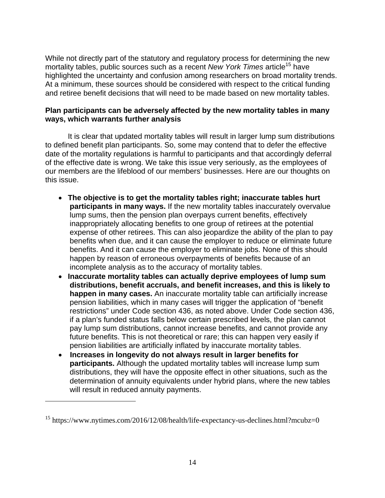While not directly part of the statutory and regulatory process for determining the new mortality tables, public sources such as a recent *New York Times* article<sup>15</sup> have highlighted the uncertainty and confusion among researchers on broad mortality trends. At a minimum, these sources should be considered with respect to the critical funding and retiree benefit decisions that will need to be made based on new mortality tables.

### **Plan participants can be adversely affected by the new mortality tables in many ways, which warrants further analysis**

It is clear that updated mortality tables will result in larger lump sum distributions to defined benefit plan participants. So, some may contend that to defer the effective date of the mortality regulations is harmful to participants and that accordingly deferral of the effective date is wrong. We take this issue very seriously, as the employees of our members are the lifeblood of our members' businesses. Here are our thoughts on this issue.

- **The objective is to get the mortality tables right; inaccurate tables hurt participants in many ways.** If the new mortality tables inaccurately overvalue lump sums, then the pension plan overpays current benefits, effectively inappropriately allocating benefits to one group of retirees at the potential expense of other retirees. This can also jeopardize the ability of the plan to pay benefits when due, and it can cause the employer to reduce or eliminate future benefits. And it can cause the employer to eliminate jobs. None of this should happen by reason of erroneous overpayments of benefits because of an incomplete analysis as to the accuracy of mortality tables.
- **Inaccurate mortality tables can actually deprive employees of lump sum distributions, benefit accruals, and benefit increases, and this is likely to happen in many cases.** An inaccurate mortality table can artificially increase pension liabilities, which in many cases will trigger the application of "benefit restrictions" under Code section 436, as noted above. Under Code section 436, if a plan's funded status falls below certain prescribed levels, the plan cannot pay lump sum distributions, cannot increase benefits, and cannot provide any future benefits. This is not theoretical or rare; this can happen very easily if pension liabilities are artificially inflated by inaccurate mortality tables.
- **Increases in longevity do not always result in larger benefits for participants.** Although the updated mortality tables will increase lump sum distributions, they will have the opposite effect in other situations, such as the determination of annuity equivalents under hybrid plans, where the new tables will result in reduced annuity payments.

<sup>&</sup>lt;sup>15</sup> https://www.nytimes.com/2016/12/08/health/life-expectancy-us-declines.html?mcubz=0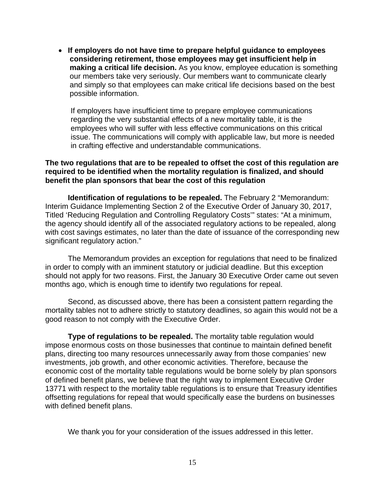**If employers do not have time to prepare helpful guidance to employees considering retirement, those employees may get insufficient help in making a critical life decision.** As you know, employee education is something our members take very seriously. Our members want to communicate clearly and simply so that employees can make critical life decisions based on the best possible information.

If employers have insufficient time to prepare employee communications regarding the very substantial effects of a new mortality table, it is the employees who will suffer with less effective communications on this critical issue. The communications will comply with applicable law, but more is needed in crafting effective and understandable communications.

#### **The two regulations that are to be repealed to offset the cost of this regulation are required to be identified when the mortality regulation is finalized, and should benefit the plan sponsors that bear the cost of this regulation**

**Identification of regulations to be repealed.** The February 2 "Memorandum: Interim Guidance Implementing Section 2 of the Executive Order of January 30, 2017, Titled 'Reducing Regulation and Controlling Regulatory Costs'" states: "At a minimum, the agency should identify all of the associated regulatory actions to be repealed, along with cost savings estimates, no later than the date of issuance of the corresponding new significant regulatory action."

 The Memorandum provides an exception for regulations that need to be finalized in order to comply with an imminent statutory or judicial deadline. But this exception should not apply for two reasons. First, the January 30 Executive Order came out seven months ago, which is enough time to identify two regulations for repeal.

 Second, as discussed above, there has been a consistent pattern regarding the mortality tables not to adhere strictly to statutory deadlines, so again this would not be a good reason to not comply with the Executive Order.

**Type of regulations to be repealed.** The mortality table regulation would impose enormous costs on those businesses that continue to maintain defined benefit plans, directing too many resources unnecessarily away from those companies' new investments, job growth, and other economic activities. Therefore, because the economic cost of the mortality table regulations would be borne solely by plan sponsors of defined benefit plans, we believe that the right way to implement Executive Order 13771 with respect to the mortality table regulations is to ensure that Treasury identifies offsetting regulations for repeal that would specifically ease the burdens on businesses with defined benefit plans.

We thank you for your consideration of the issues addressed in this letter.